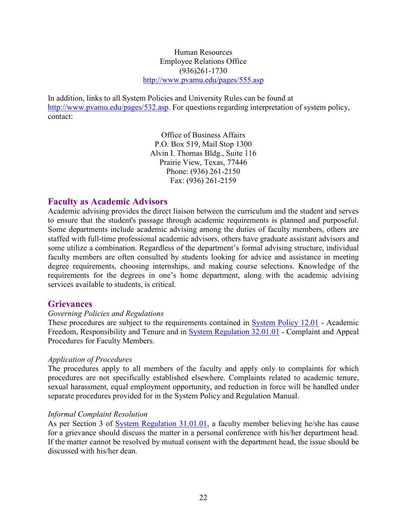Human Resources Employee Relations Office (936)261-1730 http://www.pvamu.edu/pages/555.asp

In addition, links to all System Policies and University Rules can be found at http://www.pvamu.edu/pages/532.asp. For questions regarding interpretation of system policy, contact:

> Office of Business Affairs P.O. Box 519, Mail Stop 1300 Alvin I. Thomas Bldg., Suite 116 Prairie View, Texas, 77446 Phone: (936) 261-2150 Fax: (936) 261-2159

# Faculty as Academic Advisors

Academic advising provides the direct liaison between the curriculum and the student and serves to ensure that the student's passage through academic requirements is planned and purposeful. Some departments include academic advising among the duties of faculty members, others are staffed with full-time professional academic advisors, others have graduate assistant advisors and some utilize a combination. Regardless of the department's formal advising structure, individual faculty members are often consulted by students looking for advice and assistance in meeting degree requirements, choosing internships, and making course selections. Knowledge of the requirements for the degrees in one's home department, along with the academic advising services available to students, is critical.

# **Grievances**

### Governing Policies and Regulations

These procedures are subject to the requirements contained in System Policy 12.01 - Academic Freedom, Responsibility and Tenure and in System Regulation 32.01.01 - Complaint and Appeal Procedures for Faculty Members.

### Application of Procedures

The procedures apply to all members of the faculty and apply only to complaints for which procedures are not specifically established elsewhere. Complaints related to academic tenure, sexual harassment, equal employment opportunity, and reduction in force will be handled under separate procedures provided for in the System Policy and Regulation Manual.

### Informal Complaint Resolution

As per Section 3 of System Regulation 31.01.01, a faculty member believing he/she has cause for a grievance should discuss the matter in a personal conference with his/her department head. If the matter cannot be resolved by mutual consent with the department head, the issue should be discussed with his/her dean.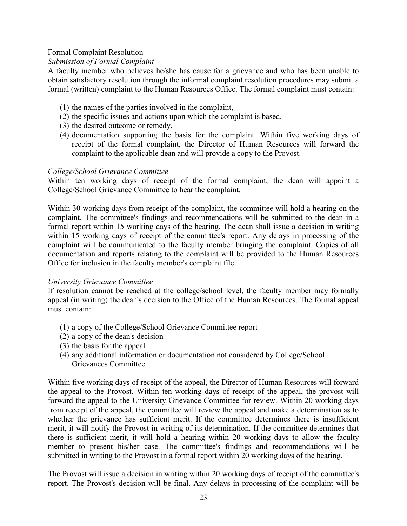## Formal Complaint Resolution

## Submission of Formal Complaint

A faculty member who believes he/she has cause for a grievance and who has been unable to obtain satisfactory resolution through the informal complaint resolution procedures may submit a formal (written) complaint to the Human Resources Office. The formal complaint must contain:

- (1) the names of the parties involved in the complaint,
- (2) the specific issues and actions upon which the complaint is based,
- (3) the desired outcome or remedy,
- (4) documentation supporting the basis for the complaint. Within five working days of receipt of the formal complaint, the Director of Human Resources will forward the complaint to the applicable dean and will provide a copy to the Provost.

### College/School Grievance Committee

Within ten working days of receipt of the formal complaint, the dean will appoint a College/School Grievance Committee to hear the complaint.

Within 30 working days from receipt of the complaint, the committee will hold a hearing on the complaint. The committee's findings and recommendations will be submitted to the dean in a formal report within 15 working days of the hearing. The dean shall issue a decision in writing within 15 working days of receipt of the committee's report. Any delays in processing of the complaint will be communicated to the faculty member bringing the complaint. Copies of all documentation and reports relating to the complaint will be provided to the Human Resources Office for inclusion in the faculty member's complaint file.

### University Grievance Committee

If resolution cannot be reached at the college/school level, the faculty member may formally appeal (in writing) the dean's decision to the Office of the Human Resources. The formal appeal must contain:

- (1) a copy of the College/School Grievance Committee report
- (2) a copy of the dean's decision
- (3) the basis for the appeal
- (4) any additional information or documentation not considered by College/School Grievances Committee.

Within five working days of receipt of the appeal, the Director of Human Resources will forward the appeal to the Provost. Within ten working days of receipt of the appeal, the provost will forward the appeal to the University Grievance Committee for review. Within 20 working days from receipt of the appeal, the committee will review the appeal and make a determination as to whether the grievance has sufficient merit. If the committee determines there is insufficient merit, it will notify the Provost in writing of its determination. If the committee determines that there is sufficient merit, it will hold a hearing within 20 working days to allow the faculty member to present his/her case. The committee's findings and recommendations will be submitted in writing to the Provost in a formal report within 20 working days of the hearing.

The Provost will issue a decision in writing within 20 working days of receipt of the committee's report. The Provost's decision will be final. Any delays in processing of the complaint will be